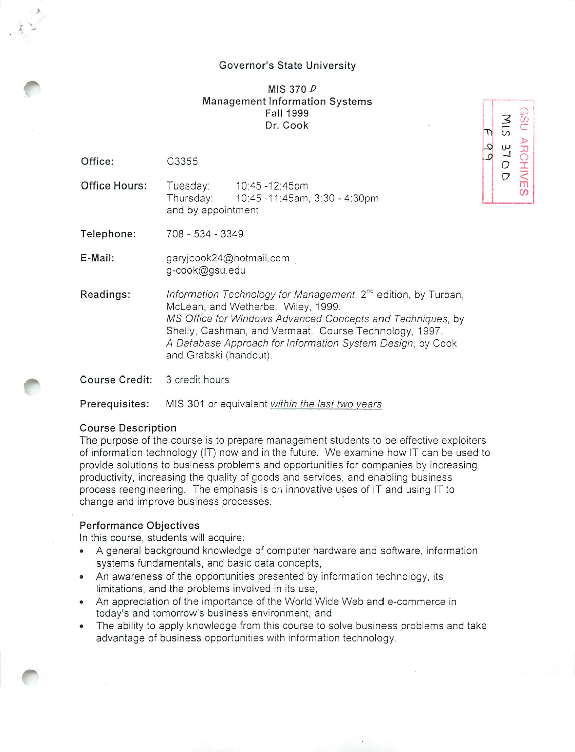### *Governor's State University*

# *MIS 370 P Management Information Systems Fall 1999 Dr. Cook*

*| j*

*Tl CO <sup>&</sup>gt; aj* **<sup>W</sup> <sup>X</sup> S>** *J o 0 I* **V**

*3 £*

*m* CO

*Office:* C3355

**;** \*-

*Office Hours:* Tuesday: 10:45-12:45pm Thursday: 10:45-11:45am, 3:30-4:30pm and by appointment

*Telephone:* 708 - 534 - 3349

*E-Mail:* garyjcook24@hotmail.com g-cook@gsu.edu

*Readings:* **Information Technology for Management,** 2nd edition, by Turban, McLean, and Wetherbe. Wiley, 1999. **MS Office for Windows Advanced Concepts and Techniques,** by Shelly, Cashman, and Vermaat. Course Technology, 1997. **A Database Approach for Information System Design,** by Cook *and Grabski (handout).*

*Course* Credit: 3 credit hours

**Prerequisites:** MIS 301 or equivalent within the last two years

# *Course Description*

The purpose of the course is to prepare management students to be effective exploiters of information technology (IT) now and in the future. We examine *how IT* can be used to provide solutions to business problems and opportunities for companies by increasing productivity, increasing the quality of goods and services, and enabling business process reengineering. The emphasis is or. innovative uses of IT and using IT to change and improve business processes.

#### *Performance Objectives*

In this course, students will acquire:

- A general background knowledge of computer hardware and software, information systems fundamentals, and basic data concepts,
- An awareness of the opportunities presented by information technology, its limitations, and the problems involved in its use,
- An appreciation of the importance of the World Wide Web and e-commerce in today's and tomorrow's business environment, and
- The ability to apply knowledge from this course to solve business problems and take advantage of business opportunities with information technology.